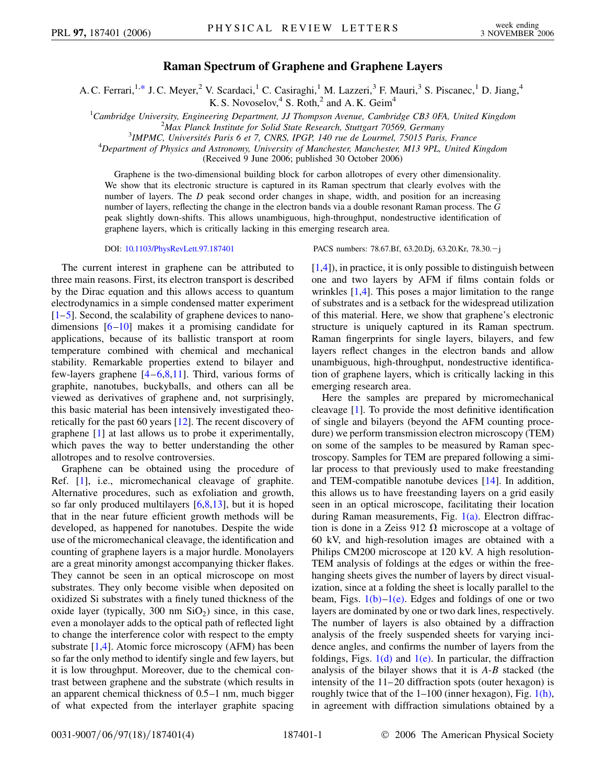## **Raman Spectrum of Graphene and Graphene Layers**

<span id="page-0-0"></span>A. C. Ferrari,<sup>1,[\\*](#page-3-0)</sup> J. C. Meyer,<sup>2</sup> V. Scardaci,<sup>1</sup> C. Casiraghi,<sup>1</sup> M. Lazzeri,<sup>3</sup> F. Mauri,<sup>3</sup> S. Piscanec,<sup>1</sup> D. Jiang,<sup>4</sup> K. S. Novoselov,  $4\,$  S. Roth,  $2\,$  and A. K. Geim<sup>4</sup>

<sup>1</sup>Cambridge University, Engineering Department, JJ Thompson Avenue, Cambridge CB3 0FA, United Kingdom<sup>2</sup>Max Planek Institute for Solid State Pessagrab Stuttgart 70560 Carmany *Max Planck Institute for Solid State Research, Stuttgart 70569, Germany* <sup>3</sup>

<sup>3</sup>IMPMC, Universités Paris 6 et 7, CNRS, IPGP, 140 rue de Lourmel, 75015 Paris, France

*Department of Physics and Astronomy, University of Manchester, Manchester, M13 9PL, United Kingdom*

(Received 9 June 2006; published 30 October 2006)

Graphene is the two-dimensional building block for carbon allotropes of every other dimensionality. We show that its electronic structure is captured in its Raman spectrum that clearly evolves with the number of layers. The *D* peak second order changes in shape, width, and position for an increasing number of layers, reflecting the change in the electron bands via a double resonant Raman process. The *G* peak slightly down-shifts. This allows unambiguous, high-throughput, nondestructive identification of graphene layers, which is critically lacking in this emerging research area.

The current interest in graphene can be attributed to three main reasons. First, its electron transport is described by the Dirac equation and this allows access to quantum electrodynamics in a simple condensed matter experiment [\[1–](#page-3-1)[5\]](#page-3-2). Second, the scalability of graphene devices to nanodimensions  $[6–10]$  $[6–10]$  $[6–10]$  $[6–10]$  makes it a promising candidate for applications, because of its ballistic transport at room temperature combined with chemical and mechanical stability. Remarkable properties extend to bilayer and few-layers graphene [\[4](#page-3-5)–[6,](#page-3-3)[8](#page-3-6)[,11\]](#page-3-7). Third, various forms of graphite, nanotubes, buckyballs, and others can all be viewed as derivatives of graphene and, not surprisingly, this basic material has been intensively investigated theoretically for the past 60 years [\[12\]](#page-3-8). The recent discovery of graphene [[1\]](#page-3-1) at last allows us to probe it experimentally, which paves the way to better understanding the other allotropes and to resolve controversies.

Graphene can be obtained using the procedure of Ref. [\[1](#page-3-1)], i.e., micromechanical cleavage of graphite. Alternative procedures, such as exfoliation and growth, so far only produced multilayers  $[6,8,13]$  $[6,8,13]$  $[6,8,13]$  $[6,8,13]$  $[6,8,13]$  $[6,8,13]$ , but it is hoped that in the near future efficient growth methods will be developed, as happened for nanotubes. Despite the wide use of the micromechanical cleavage, the identification and counting of graphene layers is a major hurdle. Monolayers are a great minority amongst accompanying thicker flakes. They cannot be seen in an optical microscope on most substrates. They only become visible when deposited on oxidized Si substrates with a finely tuned thickness of the oxide layer (typically, 300 nm  $SiO<sub>2</sub>$ ) since, in this case, even a monolayer adds to the optical path of reflected light to change the interference color with respect to the empty substrate [[1](#page-3-1)[,4\]](#page-3-5). Atomic force microscopy (AFM) has been so far the only method to identify single and few layers, but it is low throughput. Moreover, due to the chemical contrast between graphene and the substrate (which results in an apparent chemical thickness of 0.5–1 nm, much bigger of what expected from the interlayer graphite spacing

DOI: [10.1103/PhysRevLett.97.187401](http://dx.doi.org/10.1103/PhysRevLett.97.187401) PACS numbers: 78.67.Bf, 63.20.Dj, 63.20.Kr, 78.30.j

[\[1,](#page-3-1)[4](#page-3-5)]), in practice, it is only possible to distinguish between one and two layers by AFM if films contain folds or wrinkles [[1](#page-3-1),[4\]](#page-3-5). This poses a major limitation to the range of substrates and is a setback for the widespread utilization of this material. Here, we show that graphene's electronic structure is uniquely captured in its Raman spectrum. Raman fingerprints for single layers, bilayers, and few layers reflect changes in the electron bands and allow unambiguous, high-throughput, nondestructive identification of graphene layers, which is critically lacking in this emerging research area.

Here the samples are prepared by micromechanical cleavage [\[1](#page-3-1)]. To provide the most definitive identification of single and bilayers (beyond the AFM counting procedure) we perform transmission electron microscopy (TEM) on some of the samples to be measured by Raman spectroscopy. Samples for TEM are prepared following a similar process to that previously used to make freestanding and TEM-compatible nanotube devices [\[14\]](#page-3-10). In addition, this allows us to have freestanding layers on a grid easily seen in an optical microscope, facilitating their location during Raman measurements, Fig. [1\(a\)](#page-1-0). Electron diffraction is done in a Zeiss 912  $\Omega$  microscope at a voltage of 60 kV, and high-resolution images are obtained with a Philips CM200 microscope at 120 kV. A high resolution-TEM analysis of foldings at the edges or within the freehanging sheets gives the number of layers by direct visualization, since at a folding the sheet is locally parallel to the beam, Figs.  $1(b)-1(e)$  $1(b)-1(e)$ . Edges and foldings of one or two layers are dominated by one or two dark lines, respectively. The number of layers is also obtained by a diffraction analysis of the freely suspended sheets for varying incidence angles, and confirms the number of layers from the foldings, Figs.  $1(d)$  and  $1(e)$ . In particular, the diffraction analysis of the bilayer shows that it is *A*-*B* stacked (the intensity of the 11–20 diffraction spots (outer hexagon) is roughly twice that of the  $1-100$  (inner hexagon), Fig.  $1(h)$ , in agreement with diffraction simulations obtained by a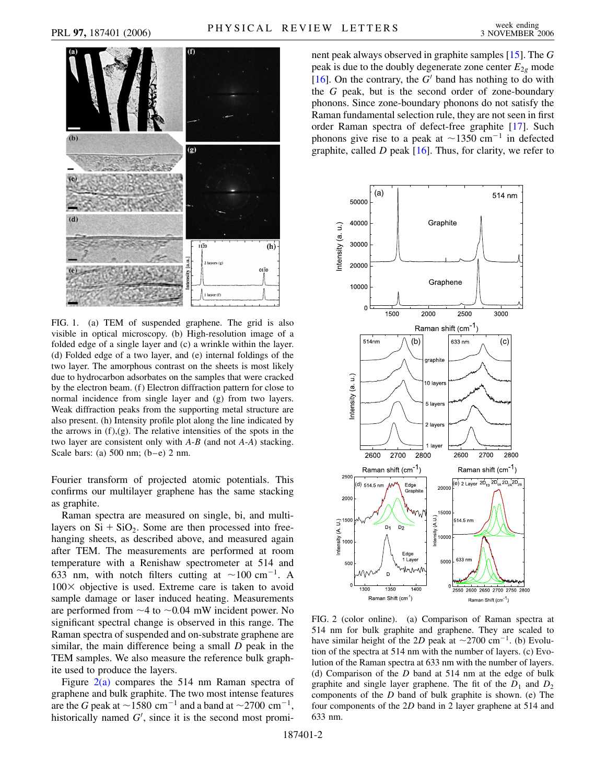

<span id="page-1-0"></span>FIG. 1. (a) TEM of suspended graphene. The grid is also visible in optical microscopy. (b) High-resolution image of a folded edge of a single layer and (c) a wrinkle within the layer. (d) Folded edge of a two layer, and (e) internal foldings of the two layer. The amorphous contrast on the sheets is most likely due to hydrocarbon adsorbates on the samples that were cracked by the electron beam. (f) Electron diffraction pattern for close to normal incidence from single layer and (g) from two layers. Weak diffraction peaks from the supporting metal structure are also present. (h) Intensity profile plot along the line indicated by the arrows in  $(f)$ , $(g)$ . The relative intensities of the spots in the two layer are consistent only with *A*-*B* (and not *A*-*A*) stacking. Scale bars: (a) 500 nm; (b–e) 2 nm.

Fourier transform of projected atomic potentials. This confirms our multilayer graphene has the same stacking as graphite.

Raman spectra are measured on single, bi, and multilayers on  $Si + SiO<sub>2</sub>$ . Some are then processed into freehanging sheets, as described above, and measured again after TEM. The measurements are performed at room temperature with a Renishaw spectrometer at 514 and 633 nm, with notch filters cutting at  $\sim$ 100 cm<sup>-1</sup>. A  $100 \times$  objective is used. Extreme care is taken to avoid sample damage or laser induced heating. Measurements are performed from  $\sim$  4 to  $\sim$  0.04 mW incident power. No significant spectral change is observed in this range. The Raman spectra of suspended and on-substrate graphene are similar, the main difference being a small *D* peak in the TEM samples. We also measure the reference bulk graphite used to produce the layers.

Figure  $2(a)$  compares the 514 nm Raman spectra of graphene and bulk graphite. The two most intense features are the *G* peak at  $\sim$  1580 cm<sup>-1</sup> and a band at  $\sim$  2700 cm<sup>-1</sup>, historically named  $G'$ , since it is the second most prominent peak always observed in graphite samples [[15](#page-3-11)]. The *G* peak is due to the doubly degenerate zone center  $E_{2g}$  mode [\[16\]](#page-3-12). On the contrary, the  $G<sup>1</sup>$  band has nothing to do with the *G* peak, but is the second order of zone-boundary phonons. Since zone-boundary phonons do not satisfy the Raman fundamental selection rule, they are not seen in first order Raman spectra of defect-free graphite [[17](#page-3-13)]. Such phonons give rise to a peak at  $\sim$ 1350 cm<sup>-1</sup> in defected graphite, called *D* peak [[16](#page-3-12)]. Thus, for clarity, we refer to

<span id="page-1-2"></span>

<span id="page-1-1"></span>FIG. 2 (color online). (a) Comparison of Raman spectra at 514 nm for bulk graphite and graphene. They are scaled to have similar height of the 2D peak at  $\sim$ 2700 cm<sup>-1</sup>. (b) Evolution of the spectra at 514 nm with the number of layers. (c) Evolution of the Raman spectra at 633 nm with the number of layers. (d) Comparison of the *D* band at 514 nm at the edge of bulk graphite and single layer graphene. The fit of the  $D_1$  and  $D_2$ components of the *D* band of bulk graphite is shown. (e) The four components of the 2*D* band in 2 layer graphene at 514 and 633 nm.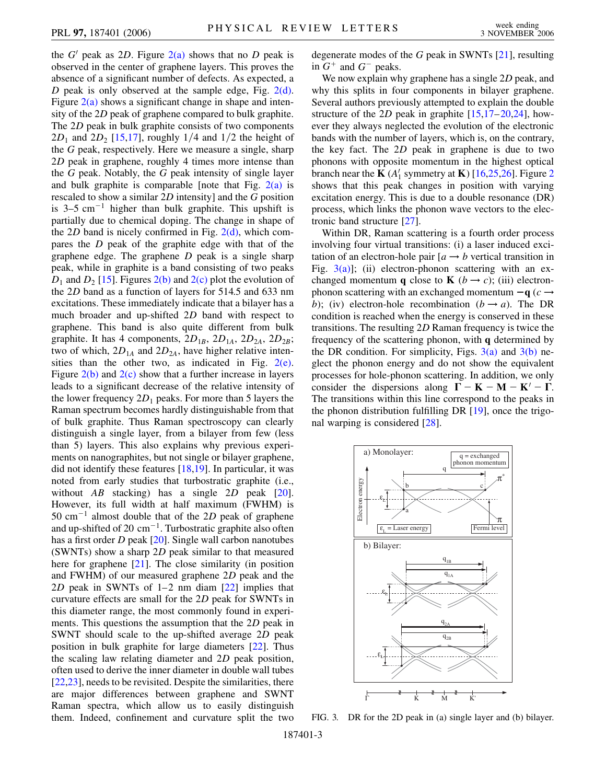the  $G'$  peak as 2*D*. Figure  $2(a)$  shows that no *D* peak is observed in the center of graphene layers. This proves the absence of a significant number of defects. As expected, a *D* peak is only observed at the sample edge, Fig. [2\(d\)](#page-1-1). Figure  $2(a)$  shows a significant change in shape and intensity of the 2*D* peak of graphene compared to bulk graphite. The 2*D* peak in bulk graphite consists of two components  $2D_1$  and  $2D_2$  [\[15](#page-3-11)[,17\]](#page-3-13), roughly 1/4 and 1/2 the height of the *G* peak, respectively. Here we measure a single, sharp 2*D* peak in graphene, roughly 4 times more intense than the *G* peak. Notably, the *G* peak intensity of single layer and bulk graphite is comparable [note that Fig.  $2(a)$  is rescaled to show a similar 2*D* intensity] and the *G* position is  $3-5$  cm<sup>-1</sup> higher than bulk graphite. This upshift is partially due to chemical doping. The change in shape of the 2*D* band is nicely confirmed in Fig.  $2(d)$ , which compares the *D* peak of the graphite edge with that of the graphene edge. The graphene *D* peak is a single sharp peak, while in graphite is a band consisting of two peaks  $D_1$  and  $D_2$  [[15\]](#page-3-11). Figures [2\(b\)](#page-1-1) and [2\(c\)](#page-1-1) plot the evolution of the 2*D* band as a function of layers for 514.5 and 633 nm excitations. These immediately indicate that a bilayer has a much broader and up-shifted 2*D* band with respect to graphene. This band is also quite different from bulk graphite. It has 4 components,  $2D_{1B}$ ,  $2D_{1A}$ ,  $2D_{2A}$ ,  $2D_{2B}$ ; two of which,  $2D_{1A}$  and  $2D_{2A}$ , have higher relative intensities than the other two, as indicated in Fig.  $2(e)$ . Figure  $2(b)$  and  $2(c)$  show that a further increase in layers leads to a significant decrease of the relative intensity of the lower frequency  $2D_1$  peaks. For more than 5 layers the Raman spectrum becomes hardly distinguishable from that of bulk graphite. Thus Raman spectroscopy can clearly distinguish a single layer, from a bilayer from few (less than 5) layers. This also explains why previous experiments on nanographites, but not single or bilayer graphene, did not identify these features [\[18,](#page-3-14)[19\]](#page-3-15). In particular, it was noted from early studies that turbostratic graphite (i.e., without *AB* stacking) has a single 2*D* peak [\[20\]](#page-3-16). However, its full width at half maximum (FWHM) is 50 cm<sup>-1</sup> almost double that of the 2*D* peak of graphene and up-shifted of 20  $\text{cm}^{-1}$ . Turbostratic graphite also often has a first order *D* peak [\[20](#page-3-16)]. Single wall carbon nanotubes (SWNTs) show a sharp 2*D* peak similar to that measured here for graphene [\[21\]](#page-3-17). The close similarity (in position and FWHM) of our measured graphene 2*D* peak and the 2*D* peak in SWNTs of 1–2 nm diam [\[22\]](#page-3-18) implies that curvature effects are small for the 2*D* peak for SWNTs in this diameter range, the most commonly found in experiments. This questions the assumption that the 2*D* peak in SWNT should scale to the up-shifted average 2*D* peak position in bulk graphite for large diameters [\[22\]](#page-3-18). Thus the scaling law relating diameter and 2*D* peak position, often used to derive the inner diameter in double wall tubes [\[22](#page-3-18)[,23\]](#page-3-19), needs to be revisited. Despite the similarities, there are major differences between graphene and SWNT Raman spectra, which allow us to easily distinguish them. Indeed, confinement and curvature split the two degenerate modes of the *G* peak in SWNTs [\[21\]](#page-3-17), resulting in  $G^+$  and  $G^-$  peaks.

We now explain why graphene has a single 2*D* peak, and why this splits in four components in bilayer graphene. Several authors previously attempted to explain the double structure of the 2*D* peak in graphite  $[15,17-20,24]$  $[15,17-20,24]$  $[15,17-20,24]$  $[15,17-20,24]$  $[15,17-20,24]$  $[15,17-20,24]$  $[15,17-20,24]$  $[15,17-20,24]$  $[15,17-20,24]$ , however they always neglected the evolution of the electronic bands with the number of layers, which is, on the contrary, the key fact. The 2*D* peak in graphene is due to two phonons with opposite momentum in the highest optical branch near the **K** ( $A'_1$  symmetry at **K**) [\[16,](#page-3-12)[25,](#page-3-21)[26](#page-3-22)]. Figure [2](#page-1-2) shows that this peak changes in position with varying excitation energy. This is due to a double resonance (DR) process, which links the phonon wave vectors to the electronic band structure [\[27\]](#page-3-23).

Within DR, Raman scattering is a fourth order process involving four virtual transitions: (i) a laser induced excitation of an electron-hole pair  $[a \rightarrow b$  vertical transition in Fig.  $3(a)$ ]; (ii) electron-phonon scattering with an exchanged momentum **q** close to **K** ( $b \rightarrow c$ ); (iii) electronphonon scattering with an exchanged momentum  $-q$  ( $c \rightarrow$ *b*); (iv) electron-hole recombination ( $b \rightarrow a$ ). The DR condition is reached when the energy is conserved in these transitions. The resulting 2*D* Raman frequency is twice the frequency of the scattering phonon, with **q** determined by the DR condition. For simplicity, Figs.  $3(a)$  and  $3(b)$  neglect the phonon energy and do not show the equivalent processes for hole-phonon scattering. In addition, we only consider the dispersions along  $\mathbf{\Gamma} - \mathbf{K} - \mathbf{M} - \mathbf{K}^{\prime} - \mathbf{\Gamma}$ . The transitions within this line correspond to the peaks in the phonon distribution fulfilling DR [[19](#page-3-15)], once the trigonal warping is considered [\[28\]](#page-3-24).



<span id="page-2-0"></span>FIG. 3. DR for the 2D peak in (a) single layer and (b) bilayer.